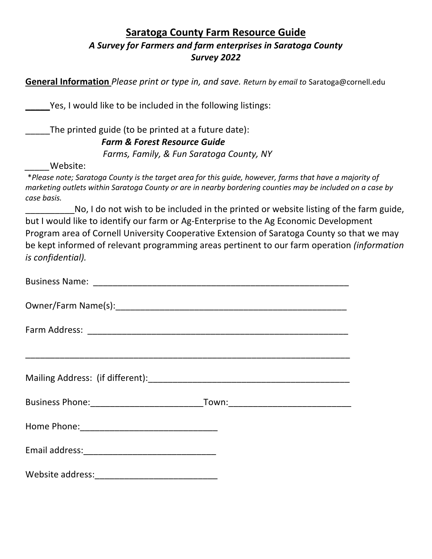# **Saratoga County Farm Resource Guide** *A Survey for Farmers and farm enterprises in Saratoga County Survey 2022*

**General Information** *Please print or type in, and save. Return by email to* Saratoga@cornell.edu

Yes, I would like to be included in the following listings:

The printed guide (to be printed at a future date):

### *Farm & Forest Resource Guide*

 *Farms, Family, & Fun Saratoga County, NY*

*\_\_\_\_\_*Website:

\**Please note; Saratoga County is the target area for this guide, however, farms that have a majority of marketing outlets within Saratoga County or are in nearby bordering counties may be included on a case by case basis.*

No, I do not wish to be included in the printed or website listing of the farm guide, but I would like to identify our farm or Ag-Enterprise to the Ag Economic Development Program area of Cornell University Cooperative Extension of Saratoga County so that we may be kept informed of relevant programming areas pertinent to our farm operation *(information is confidential).*

| Business Phone:__________________________________Town:__________________________                              |  |
|---------------------------------------------------------------------------------------------------------------|--|
| Home Phone: 2008 2010 2010 2010 2010 2011 2021 2022 2023 2024 2022 2023 2024 2022 2023 2024 2022 2023 2024 20 |  |
|                                                                                                               |  |
|                                                                                                               |  |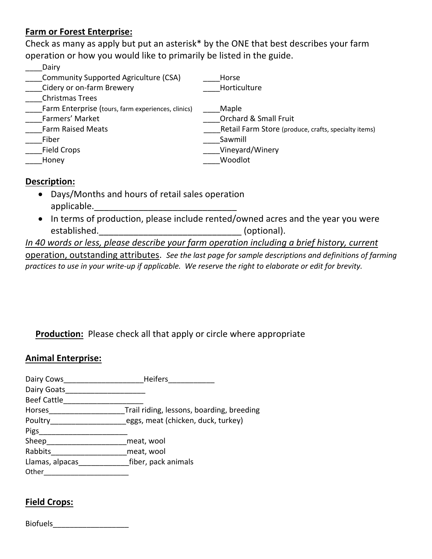## **Farm or Forest Enterprise:**

Check as many as apply but put an asterisk\* by the ONE that best describes your farm operation or how you would like to primarily be listed in the guide.

| Dairy                                              |                                                      |
|----------------------------------------------------|------------------------------------------------------|
| Community Supported Agriculture (CSA)              | Horse                                                |
| Cidery or on-farm Brewery                          | Horticulture                                         |
| <b>Christmas Trees</b>                             |                                                      |
| Farm Enterprise (tours, farm experiences, clinics) | Maple                                                |
| Farmers' Market                                    | <b>Orchard &amp; Small Fruit</b>                     |
| <b>Farm Raised Meats</b>                           | Retail Farm Store (produce, crafts, specialty items) |
| Fiber                                              | Sawmill                                              |
| <b>Field Crops</b>                                 | Vineyard/Winery                                      |
| Honey                                              | Woodlot                                              |

### **Description:**

- Days/Months and hours of retail sales operation applicable.
- In terms of production, please include rented/owned acres and the year you were established. The contraction of the contraction of the contraction of the contraction of the contraction of the contraction of the contraction of the contraction of the contraction of the contraction of the contraction of

*In 40 words or less, please describe your farm operation including a brief history, current* operation, outstanding attributes. *See the last page for sample descriptions and definitions of farming practices to use in your write-up if applicable. We reserve the right to elaborate or edit for brevity.*

## **Production:** Please check all that apply or circle where appropriate

#### **Animal Enterprise:**

| <b>Heifers</b>                            |
|-------------------------------------------|
|                                           |
|                                           |
| Trail riding, lessons, boarding, breeding |
| eggs, meat (chicken, duck, turkey)        |
|                                           |
| meat, wool                                |
| meat, wool                                |
| fiber, pack animals                       |
|                                           |
|                                           |

## **Field Crops:**

| <b>Biofuels</b> |
|-----------------|
|-----------------|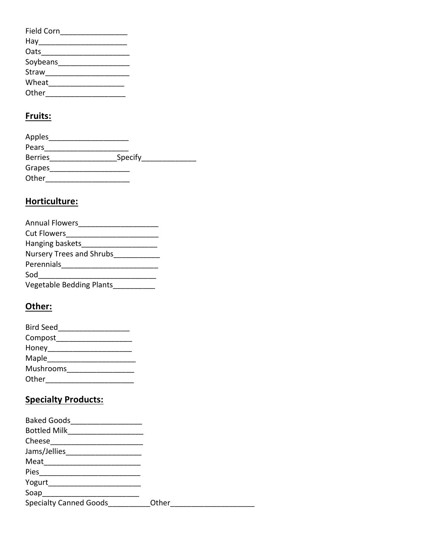| <b>Field Corn</b> |  |
|-------------------|--|
| Hay               |  |
| Oats              |  |
| Soybeans          |  |
| Straw             |  |
| Wheat             |  |
| Other             |  |

# **Fruits:**

| Apples         |         |  |
|----------------|---------|--|
| Pears          |         |  |
| <b>Berries</b> | Specify |  |
| Grapes         |         |  |
| Other          |         |  |

# **Horticulture:**

| <b>Annual Flowers</b>           |
|---------------------------------|
| <b>Cut Flowers</b>              |
| Hanging baskets                 |
| Nursery Trees and Shrubs        |
| Perennials                      |
| Sod                             |
| <b>Vegetable Bedding Plants</b> |

# **Other:**

| <b>Bird Seed</b> |  |
|------------------|--|
| Compost          |  |
| Honey            |  |
| Maple            |  |
| Mushrooms        |  |
| Other            |  |

# **Specialty Products:**

| <b>Baked Goods</b><br><b>Bottled Milk</b> |       |
|-------------------------------------------|-------|
| Cheese                                    |       |
| Jams/Jellies                              |       |
| Meat                                      |       |
| Pies                                      |       |
| Yogurt                                    |       |
| Soap                                      |       |
| <b>Specialty Canned Goods</b>             | Other |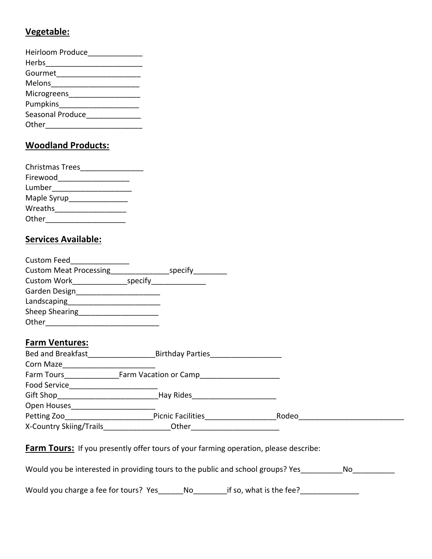### **Vegetable:**

| <b>Heirloom Produce</b> |
|-------------------------|
| Herbs                   |
| Gourmet                 |
| Melons                  |
| Microgreens             |
| Pumpkins                |
| Seasonal Produce        |
| Other                   |
|                         |

## **Woodland Products:**

| <b>Christmas Trees</b> |  |
|------------------------|--|
| Firewood               |  |
| Lumber                 |  |
| Maple Syrup            |  |
| Wreaths                |  |
| Other                  |  |

### **Services Available:**

| <b>Custom Feed</b>            |         |         |
|-------------------------------|---------|---------|
| <b>Custom Meat Processing</b> |         | specify |
| Custom Work                   | specify |         |
| Garden Design                 |         |         |
| Landscaping                   |         |         |
| Sheep Shearing                |         |         |
| Other                         |         |         |

## **Farm Ventures:**

| <b>Bed and Breakfast</b> | <b>Birthday Parties</b>  |       |  |
|--------------------------|--------------------------|-------|--|
| Corn Maze                |                          |       |  |
| Farm Tours               | Farm Vacation or Camp    |       |  |
| <b>Food Service</b>      |                          |       |  |
| Gift Shop                | Hay Rides                |       |  |
| Open Houses              |                          |       |  |
| Petting Zoo              | <b>Picnic Facilities</b> | Rodeo |  |
| X-Country Skiing/Trails  | Other                    |       |  |

**Farm Tours:** If you presently offer tours of your farming operation, please describe:

Would you be interested in providing tours to the public and school groups? Yes\_\_\_\_\_\_\_\_\_No\_\_\_\_\_\_\_\_\_

Would you charge a fee for tours? Yes\_\_\_\_\_\_No\_\_\_\_\_\_\_\_\_if so, what is the fee?\_\_\_\_\_\_\_\_\_\_\_